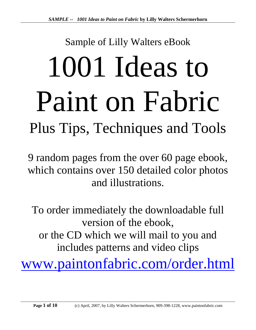# Sample of Lilly Walters eBook 1001 Ideas to Paint on Fabric Plus Tips, Techniques and Tools

9 random pages from the over 60 page ebook, which contains over 150 detailed color photos and illustrations.

To order immediately the downloadable full version of the ebook, or the CD which we will mail to you and includes patterns and video clips

[www.paintonfabric.com/order.html](http://www.paintonfabric.com/order.html)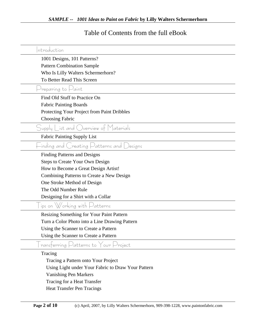### Table of Contents from the full eBook

| ntroduction                                                                                         |
|-----------------------------------------------------------------------------------------------------|
| 1001 Designs, 101 Patterns?                                                                         |
| <b>Pattern Combination Sample</b>                                                                   |
| Who Is Lilly Walters Schermerhorn?                                                                  |
| To Better Read This Screen                                                                          |
| reparing to ⊢aint                                                                                   |
| Find Old Stuff to Practice On                                                                       |
| <b>Fabric Painting Boards</b>                                                                       |
| Protecting Your Project from Paint Dribbles                                                         |
| <b>Choosing Fabric</b>                                                                              |
| $\int$ upply List and Overview of Materials                                                         |
| Fabric Painting Supply List                                                                         |
| -inding and Creating Patterns and Designs                                                           |
| Finding Patterns and Designs                                                                        |
| Steps to Create Your Own Design                                                                     |
| How to Become a Great Design Artist!                                                                |
| Combining Patterns to Create a New Design                                                           |
| One Stroke Method of Design                                                                         |
| The Odd Number Rule                                                                                 |
| Designing for a Shirt with a Collar                                                                 |
| ips on $\bigvee$ orking with $\bigcup$ atterns                                                      |
| Resizing Something for Your Paint Pattern                                                           |
| Turn a Color Photo into a Line Drawing Pattern                                                      |
| Using the Scanner to Create a Pattern                                                               |
| Using the Scanner to Create a Pattern                                                               |
| ransferring Patterns to Your Project                                                                |
| Tracing                                                                                             |
| Tracing a Pattern onto Your Project                                                                 |
| Using Light under Your Fabric to Draw Your Pattern                                                  |
| <b>Vanishing Pen Markers</b>                                                                        |
| Tracing for a Heat Transfer                                                                         |
| <b>Heat Transfer Pen Tracings</b>                                                                   |
|                                                                                                     |
| Page 2 of 10<br>(c) April, 2007, by Lilly Walters Schermerhorn, 909-398-1228, www.paintonfabric.com |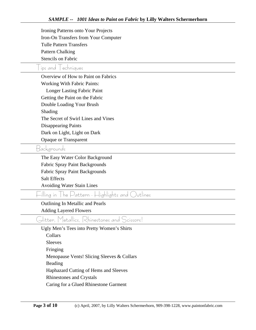| Iron-On Transfers from Your Computer<br><b>Tulle Pattern Transfers</b><br><b>Pattern Chalking</b><br><b>Stencils on Fabric</b><br>ips and echniques |
|-----------------------------------------------------------------------------------------------------------------------------------------------------|
|                                                                                                                                                     |
|                                                                                                                                                     |
|                                                                                                                                                     |
|                                                                                                                                                     |
|                                                                                                                                                     |
| Overview of How to Paint on Fabrics                                                                                                                 |
| <b>Working With Fabric Paints:</b>                                                                                                                  |
| <b>Longer Lasting Fabric Paint</b>                                                                                                                  |
| Getting the Paint on the Fabric                                                                                                                     |
| Double Loading Your Brush                                                                                                                           |
| Shading                                                                                                                                             |
| The Secret of Swirl Lines and Vines                                                                                                                 |
| <b>Disappearing Paints</b>                                                                                                                          |
| Dark on Light, Light on Dark                                                                                                                        |
| Opaque or Transparent                                                                                                                               |
| Backgrounds                                                                                                                                         |
| The Easy Water Color Background                                                                                                                     |
| Fabric Spray Paint Backgrounds                                                                                                                      |
| Fabric Spray Paint Backgrounds                                                                                                                      |
| <b>Salt Effects</b>                                                                                                                                 |
| <b>Avoiding Water Stain Lines</b>                                                                                                                   |
| -illing in   he Pattern - Highlights and Outlines                                                                                                   |
| Outlining In Metallic and Pearls                                                                                                                    |
| <b>Adding Layered Flowers</b>                                                                                                                       |
| Glitter, Metallics, Rhinestones and Scissors!                                                                                                       |
| Ugly Men's Tees into Pretty Women's Shirts                                                                                                          |
| Collars                                                                                                                                             |
|                                                                                                                                                     |
| <b>Sleeves</b>                                                                                                                                      |
| Fringing                                                                                                                                            |
| Menopause Vents! Slicing Sleeves & Collars                                                                                                          |
| Beading                                                                                                                                             |
| Haphazard Cutting of Hems and Sleeves                                                                                                               |
| <b>Rhinestones and Crystals</b>                                                                                                                     |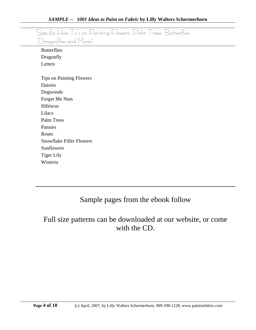|                                 | Specific How-To's on Painting Flowers, Palm Trees, Butterflies, |
|---------------------------------|-----------------------------------------------------------------|
| Dragonflies and More!           |                                                                 |
| <b>Butterflies</b>              |                                                                 |
| Dragonfly                       |                                                                 |
| Letters                         |                                                                 |
|                                 |                                                                 |
| <b>Tips on Painting Flowers</b> |                                                                 |
| Daisies                         |                                                                 |
| Dogwoods                        |                                                                 |
| Forget Me Nots                  |                                                                 |
| Hibiscus                        |                                                                 |
| Lilacs                          |                                                                 |
| Palm Trees                      |                                                                 |
| Pansies                         |                                                                 |
| Roses                           |                                                                 |
| <b>Snowflake Filler Flowers</b> |                                                                 |
| Sunflowers                      |                                                                 |
| <b>Tiger Lily</b>               |                                                                 |
| Wisteria                        |                                                                 |

## Sample pages from the ebook follow

## Full size patterns can be downloaded at our website, or come with the CD.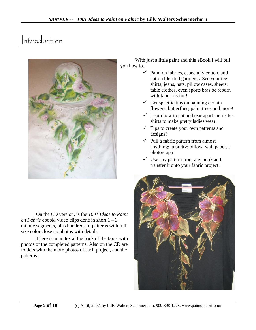# Introduction



On the CD version, is the *1001 Ideas to Paint on Fabric* ebook, video clips done in short 1 – 3 minute segments, plus hundreds of patterns with full size color close up photos with details.

There is an index at the back of the book with photos of the completed patterns. Also on the CD are folders with the more photos of each project, and the patterns.

With just a little paint and this eBook I will tell you how to...

- $\checkmark$  Paint on fabrics, especially cotton, and cotton blended garments. See your tee shirts, jeans, hats, pillow cases, sheets, table clothes, even sports bras be reborn with fabulous fun!
- $\checkmark$  Get specific tips on painting certain flowers, butterflies, palm trees and more!
- $\checkmark$  Learn how to cut and tear apart men's tee shirts to make pretty ladies wear.
- $\checkmark$  Tips to create your own patterns and designs!
- $\checkmark$  Pull a fabric pattern from almost anything: a pretty: pillow, wall paper, a photograph!
- $\checkmark$  Use any pattern from any book and transfer it onto your fabric project.

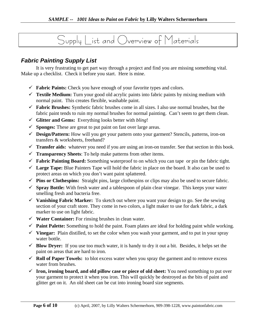# Supply List and Overview of Materials

#### *Fabric Painting Supply List*

It is very frustrating to get part way through a project and find you are missing something vital. Make up a checklist. Check it before you start. Here is mine.

- $\checkmark$  **Fabric Paints:** Check you have enough of your favorite types and colors.
- $\checkmark$  **Textile Medium:** Turn your good old acrylic paints into fabric paints by mixing medium with normal paint. This creates flexible, washable paint.
- $\checkmark$  **Fabric Brushes:** Synthetic fabric brushes come in all sizes. I also use normal brushes, but the fabric paint tends to ruin my normal brushes for normal painting. Can't seem to get them clean.
- 9 **Glitter and Gems:** Everything looks better with *bling*!
- $\checkmark$  **Sponges:** These are great to put paint on fast over large areas.
- 9 **Design/Pattern:** How will you get your pattern onto your garment? Stencils, patterns, iron-on transfers & worksheets, freehand?
- $\checkmark$  **Transfer aids:** whatever you need if you are using an iron-on transfer. See that section in this book.
- $\checkmark$  **Transparency Sheets**: To help make patterns from other items.
- 9 **Fabric Painting Board:** Something waterproof to on which you can tape or pin the fabric tight.
- $\checkmark$  Large Tape: Blue Painters Tape will hold the fabric in place on the board. It also can be used to protect areas on which you don't want paint splattered.
- $\checkmark$  Pins or Clothespins: Straight pins, large clothespins or clips may also be used to secure fabric.
- $\checkmark$  **Spray Bottle:** With fresh water and a tablespoon of plain clear vinegar. This keeps your water smelling fresh and bacteria free.
- 9 **Vanishing Fabric Marker:** To sketch out where you want your design to go. See the sewing section of your craft store. They come in two colors, a light maker to use for dark fabric, a dark marker to use on light fabric.
- $\checkmark$  **Water Container:** For rinsing brushes in clean water.
- $\checkmark$  **Paint Palette:** Something to hold the paint. Foam plates are ideal for holding paint while working.
- $\checkmark$  Vinegar: Plain distilled, to set the color when you wash your garment, and to put in your spray water bottle.
- $\checkmark$  **Blow Dryer:** If you use too much water, it is handy to dry it out a bit. Besides, it helps set the paint on areas that are hard to iron.
- $\checkmark$  **Roll of Paper Towels:** to blot excess water when you spray the garment and to remove excess water from brushes.
- $\checkmark$  **Iron, ironing board, and old pillow case or piece of old sheet:** You need something to put over your garment to protect it when you iron. This will quickly be destroyed as the bits of paint and glitter get on it. An old sheet can be cut into ironing board size segments.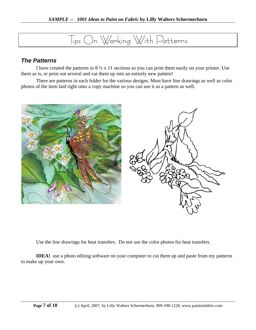# Tips On Working With Patterns

#### *The Patterns*

I have created the patterns in  $8\frac{1}{2} \times 11$  sections so you can print them easily on your printer. Use them as is, or print out several and cut them up into an entirely new pattern!

There are patterns in each folder for the various designs. Most have line drawings as well as color photos of the item laid right onto a copy machine so you can use it as a pattern as well.



Use the line drawings for heat transfers. Do not use the color photos for heat transfers.

**IDEA!** use a photo editing software on your computer to cut them up and paste from my patterns to make up your own.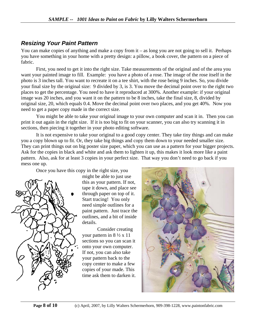#### *Resizing Your Paint Pattern*

You can make copies of anything and make a copy from it – as long you are not going to sell it. Perhaps you have something in your home with a pretty design: a pillow, a book cover, the pattern on a piece of fabric.

First, you need to get it into the right size. Take measurements of the original and of the area you want your painted image to fill. Example: you have a photo of a rose. The image of the rose itself in the photo is 3 inches tall. You want to recreate it on a tee shirt, with the rose being 9 inches. So, you divide your final size by the original size: 9 divided by 3, is 3. You move the decimal point over to the right two places to get the percentage. You need to have it reproduced at 300%. Another example: if your original image was 20 inches, and you want it on the pattern to be 8 inches, take the final size, 8, divided by original size, 20, which equals 0.4. Move the decimal point over two places, and you get 40%. Now you need to get a paper copy made in the correct size.

You might be able to take your original image to your own computer and scan it in. Then you can print it out again in the right size. If it is too big to fit on your scanner, you can also try scanning it in sections, then piecing it together in your photo editing software.

It is not expensive to take your original to a good copy center. They take tiny things and can make you a copy blown up to fit. Or, they take big things and copy them down to your needed smaller size. They can print things out on big poster size paper, which you can use as a pattern for your bigger projects. Ask for the copies in black and white and ask them to lighten it up, this makes it look more like a paint pattern. Also, ask for at least 3 copies in your perfect size. That way you don't need to go back if you mess one up.

Once you have this copy in the right size, you



might be able to just use this as your pattern. If not, tape it down, and place see through paper on top of it. Start tracing! You only need simple outlines for a paint pattern. Just trace the outlines, and a bit of inside details.

Consider creating your pattern in  $8\frac{1}{2} \times 11$ sections so you can scan it onto your own computer. If not, you can also take your pattern back to the copy center to make a few copies of your made. This time ask them to darken it.

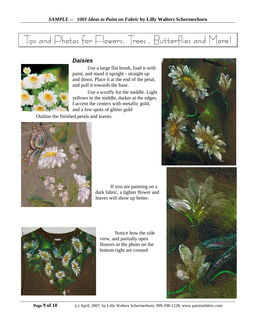|  |  |  | Tips and Photos for Flowers, Trees, Butterflies and More! |
|--|--|--|-----------------------------------------------------------|



#### *Daisies*

Use a large flat brush, load it with paint, and stand it upright - straight up and down. Place it at the end of the petal, and pull it towards the base.

Use a scruffy for the middle. Light yellows in the middle, darker at the edges. I accent the centers with metallic gold, and a few spots of glitter gold

Outline the finished petals and leaves.



If you are painting on a dark fabric, a lighter flower and leaves will show up better.



Notice how the side view, and partially open flowers in the photo on the bottom right are created